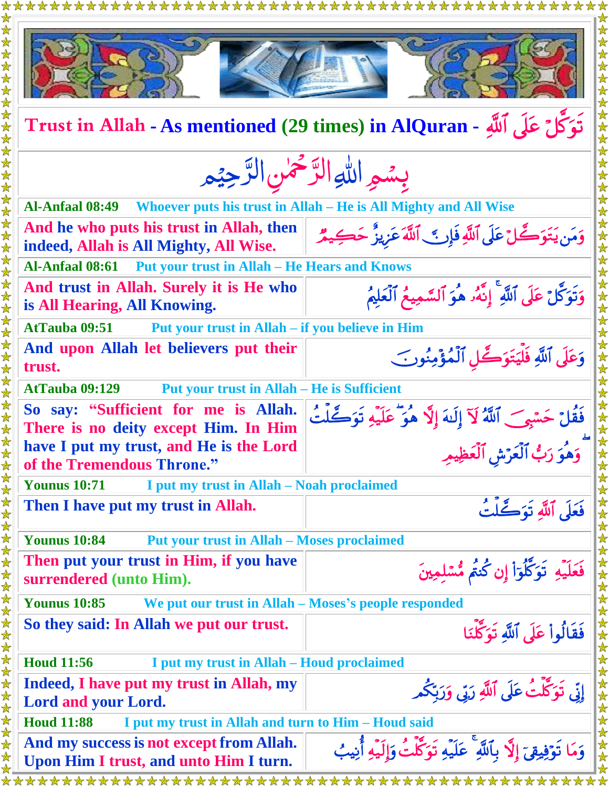|                                                                                    | ***************                                                              |  |
|------------------------------------------------------------------------------------|------------------------------------------------------------------------------|--|
|                                                                                    |                                                                              |  |
| تَوَكَّلْ عَلَى ٱللَّهِ - Trust in Allah - As mentioned (29 times) in AlQuran      |                                                                              |  |
| بسمو الله الرَّحْمٰنِ الرَّحِيْمِ                                                  |                                                                              |  |
| <b>Al-Anfaal 08:49</b>                                                             | Whoever puts his trust in Allah – He is All Mighty and All Wise              |  |
| And he who puts his trust in Allah, then<br>indeed, Allah is All Mighty, All Wise. | وَمَن يَتَوَكَّلْ عَلَى ٱللَّهِ فَإِنَّ ٱللَّهُ عَزِيزٌ حَكِيمٌ              |  |
| <b>Put your trust in Allah – He Hears and Knows</b><br><b>Al-Anfaal 08:61</b>      |                                                                              |  |
| And trust in Allah. Surely it is He who<br>is All Hearing, All Knowing.            | وَتَوَكَّلْ عَلَى ٱللَّهِ ۚ إِنَّهُۥ هُوَ ٱلسَّمِيعُ ٱلْعَلِيمُ              |  |
| <b>AtTauba 09:51</b><br>Put your trust in Allah – if you believe in Him            |                                                                              |  |
| And upon Allah let believers put their<br>trust.                                   | وَعَلَى ٱللَّهِ فَلَّيَتَوَكَّلِ ٱلْمُؤْمِنُونَ                              |  |
| <b>Put your trust in Allah – He is Sufficient</b><br><b>AtTauba 09:129</b>         |                                                                              |  |
| So say: "Sufficient for me is Allah.<br>There is no deity except Him. In Him       | فَقُلْ حَسْبِي ٱللَّهُ لَآ إِلَيهَ إِلَّا هُوَ عَلَيْهِ تَوَكَّلْتُ          |  |
| have I put my trust, and He is the Lord<br>of the Tremendous Throne."              | وَهُوَ رَبُّ ٱلْعَرَّشِ ٱلْعَظِيمِ                                           |  |
| <b>Younus 10:71</b><br>I put my trust in Allah – Noah proclaimed                   |                                                                              |  |
| Then I have put my trust in Allah.                                                 | فَعَلَى ٱللَّهِ تَوَكَّلْتُ                                                  |  |
| <b>Younus 10:84</b><br><b>Put your trust in Allah – Moses proclaimed</b>           |                                                                              |  |
| Then put your trust in Him, if you have<br>surrendered (unto Him).                 | فَعَلَيْهِ تَوَكَّلُوٓاْ إِن كُنتُم مُّسۡلِمِينَ                             |  |
| <b>Younus 10:85</b><br>We put our trust in Allah - Moses's people responded        |                                                                              |  |
| So they said: In Allah we put our trust.                                           | فَقَالُواْ عَلَى ٱللَّهِ تَوَكَّلْنَا                                        |  |
| <b>Houd 11:56</b><br>I put my trust in Allah – Houd proclaimed                     |                                                                              |  |
| Indeed, I have put my trust in Allah, my<br><b>Lord and your Lord.</b>             | إِنِّی تَوَكَّلَتُ عَلَی ٱللَّهِ رَبِّی وَرَبِّکُم                           |  |
| <b>Houd 11:88</b><br>I put my trust in Allah and turn to Him – Houd said           |                                                                              |  |
| And my success is not except from Allah.<br>Upon Him I trust, and unto Him I turn. | وَمَا تَوۡفِيقِیٓ إِلَّا بِٱللَّهِ ۚ عَلَیۡهِ تَوَكَّلۡتُ وَإِلَیۡهِ أُنِیبُ |  |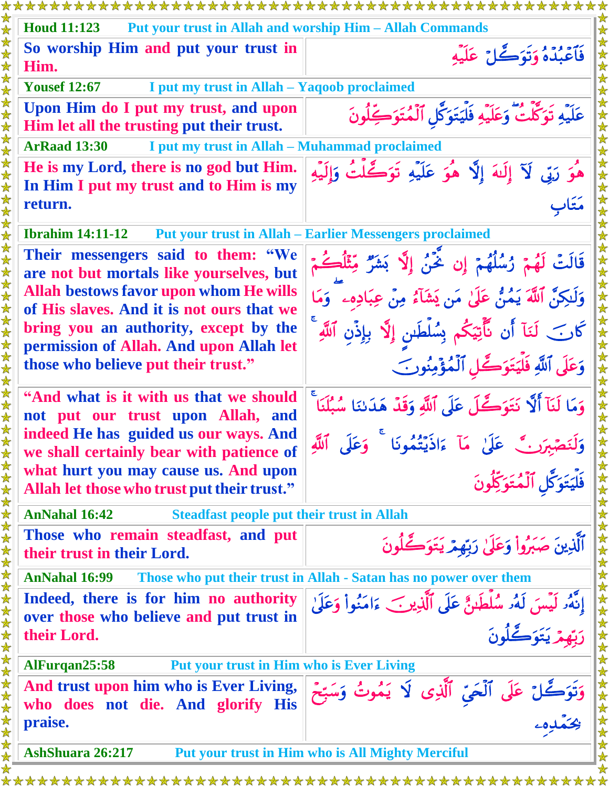| <b>Houd 11:123</b><br><b>Put your trust in Allah and worship Him – Allah Commands</b>        |                                                                                                           |  |
|----------------------------------------------------------------------------------------------|-----------------------------------------------------------------------------------------------------------|--|
| So worship Him and put your trust in<br>Him.                                                 | فَأَعْبُدْهُ وَتَوَكَّلْ عَلَيْهِ                                                                         |  |
| <b>Yousef 12:67</b><br>I put my trust in Allah - Yaqoob proclaimed                           |                                                                                                           |  |
| Upon Him do I put my trust, and upon<br>Him let all the trusting put their trust.            | عَلَيْهِ تَوَكَّلْتُ وَعَلَيْهِ فَلْيَتَوَكَّل ٱلْمُتَوَكِّلُونَ                                          |  |
| <b>ArRaad 13:30</b><br>I put my trust in Allah – Muhammad proclaimed                         |                                                                                                           |  |
| He is my Lord, there is no god but Him.<br>In Him I put my trust and to Him is my<br>return. | هُوَ رَبِّي لَآ إِلَيْهَ إِلَّا هُوَ عَلَيْهِ تَوَكَّلْتُ وَإِلَيْهِ<br>متار                              |  |
| <b>Ibrahim 14:11-12</b>                                                                      | <b>Put your trust in Allah – Earlier Messengers proclaimed</b>                                            |  |
| Their messengers said to them: "We<br>are not but mortals like yourselves, but               | قَالَتْ لَهُمْ زُسُلُهُمْ إِن خٌنُ إِلَّا بَشَرٌ مِّثَلُكُمْ                                              |  |
| Allah bestows favor upon whom He wills<br>of His slaves. And it is not ours that we          | وَلَـٰكِنَّ ٱللَّهَ يَمُنُّ عَلَىٰ مَن يَشَآءُ مِنْ عِبَادِهِۦ ۚ وَمَا                                    |  |
| bring you an authority, except by the<br>permission of Allah. And upon Allah let             | كَانَ لَنَآ أَن نَّأَتِيَكُم بِسُلْطَسٍ إِلَّا بِإِذْنِ ٱللَّهِ                                           |  |
| those who believe put their trust."                                                          | وَعَلَى ٱللَّهِ فَلْيَتَوَكَّلِ ٱلْمُؤْمِنُونَ                                                            |  |
| "And what is it with us that we should<br>not put our trust upon Allah, and                  | وَمَا لَنَآ أَلَّا نَتَوَكَّلَ عَلَى ٱللَّهِ وَقَدْ هَدَىٰنَا سُبُلَنَا ۚ                                 |  |
| indeed He has guided us our ways. And<br>we shall certainly bear with patience of            | وَلَنَصْبِرَنَّ عَلَىٰ مَآ ءَاذَيۡتُمُونَا ۚ وَعَلَى ٱللَّٰهِ<br>فَلۡيَتَوَكَّلِ ٱلۡمُتَوَكِّلُونَ        |  |
| what hurt you may cause us. And upon<br>Allah let those who trust put their trust."          |                                                                                                           |  |
| <b>AnNahal 16:42</b><br><b>Steadfast people put their trust in Allah</b>                     |                                                                                                           |  |
| Those who remain steadfast, and put<br>their trust in their Lord.                            | ٱلَّذِينَ صَبَرُواْ وَعَلَىٰ رَبِّهِمْ يَتَوَكَّلُونَ                                                     |  |
| <b>AnNahal 16:99</b>                                                                         | Those who put their trust in Allah - Satan has no power over them                                         |  |
| Indeed, there is for him no authority<br>over those who believe and put trust in             | إِنَّهُۥ لَيۡسَ لَهُۥ سُلۡطَبُنٌ عَلَى ٱلَّذِينَ ءَامَنُوا۟ وَعَلَىٰ<br>ب <sup>س</sup> م - يَتَمَكُّلُونَ |  |
| their Lord.                                                                                  |                                                                                                           |  |
| <b>Put your trust in Him who is Ever Living</b><br>AlFurqan25:58                             |                                                                                                           |  |
| And trust upon him who is Ever Living,<br>who does not die. And glorify His                  | وَتَوَكَّلْ عَلَى ٱلْحَيِّ ٱلَّذِى لَا يَمُوتُ وَسَبِّحَ<br>رِحَمْدِهِۦ                                   |  |
| praise.                                                                                      |                                                                                                           |  |
| AshShuara 26:217                                                                             | <b>Put your trust in Him who is All Mighty Merciful</b>                                                   |  |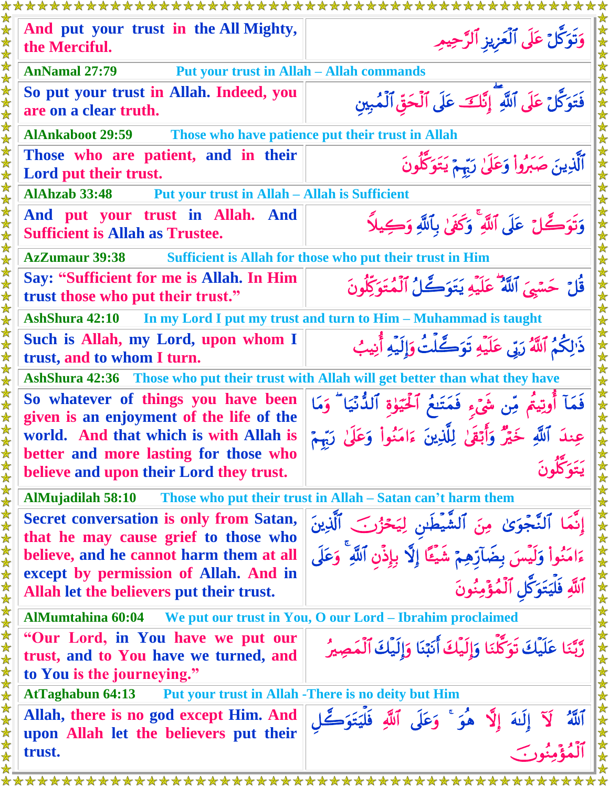| ***********************                                                                                                                |                                                                                                                                                           |  |
|----------------------------------------------------------------------------------------------------------------------------------------|-----------------------------------------------------------------------------------------------------------------------------------------------------------|--|
| And put your trust in the All Mighty,<br>the Merciful.                                                                                 | وَتَوَكَّلْ عَلَى ٱلْعَزِيزِ ٱلرَّحِيمِ                                                                                                                   |  |
| <b>Put your trust in Allah - Allah commands</b><br><b>AnNamal 27:79</b><br>$\bigstar$                                                  |                                                                                                                                                           |  |
| So put your trust in Allah. Indeed, you<br>$\bigstar$<br>$\bigstar$<br>are on a clear truth.                                           | فَتَوَكَّلْ عَلَى ٱللَّهِ ۖ إِنَّكَ عَلَى ٱلْحَقِّ ٱلْمُبِينِ                                                                                             |  |
| <b>AlAnkaboot 29:59</b><br>$\bigstar$                                                                                                  | Those who have patience put their trust in Allah                                                                                                          |  |
| Those who are patient, and in their                                                                                                    |                                                                                                                                                           |  |
| $\bigstar$<br>Lord put their trust.                                                                                                    | ٱلَّذِينَ صَبَرُواْ وَعَلَىٰ رَبِّمَ يَتَوَكَّلُونَ                                                                                                       |  |
| <b>Put your trust in Allah - Allah is Sufficient</b><br><b>AlAhzab 33:48</b>                                                           |                                                                                                                                                           |  |
| And put your trust in Allah. And<br>$\mathbf{\lambda}$<br><b>Sufficient is Allah as Trustee.</b>                                       | وَتَوَكَّلْ عَلَى ٱللَّهِ ۚ وَكَفَىٰ بِٱللَّهِ وَكِيلًا                                                                                                   |  |
| <b>AzZumaur 39:38</b><br>$\blacktriangle$                                                                                              | Sufficient is Allah for those who put their trust in Him                                                                                                  |  |
| 文女<br>Say: "Sufficient for me is Allah. In Him<br>trust those who put their trust."<br>★<br>☆                                          | قُلْ حَسَّيِّ ٱللَّهُ ۖ عَلَيْهِ يَتَوَكَّلُ ٱلْمُتَوَكِّلُونَ                                                                                            |  |
| In my Lord I put my trust and turn to Him - Muhammad is taught<br>AshShura 42:10                                                       |                                                                                                                                                           |  |
| Such is Allah, my Lord, upon whom I<br>$\bigstar$<br>$\bigstar$<br>trust, and to whom I turn.                                          | ذَٰلِكُمُ ٱللَّهُ رَبِّي عَلَيْهِ تَوَكَّلَتُ وَإِلَيْهِ أَنِيبُ                                                                                          |  |
| $\color{red} \bigstar$<br>AshShura 42:36 Those who put their trust with Allah will get better than what they have<br>☆                 |                                                                                                                                                           |  |
| So whatever of things you have been<br>given is an enjoyment of the life of the<br>world. And that which is with Allah is              | فَمَآ أُوتِيتُم مِّن شَيۡءٍ فَمَتَنعُ ٱلۡحَيَوٰةِ ٱلدُّنۡيَا ۖ وَمَا<br>عِندَ ٱللَّهِ خَيْرٌ وَأَبْقَىٰ لِلَّذِينَ ءَامَنُواْ وَعَلَىٰ رَبِّمٍ            |  |
| better and more lasting for those who<br>believe and upon their Lord they trust.                                                       | 大女                                                                                                                                                        |  |
| AlMujadilah 58:10 Those who put their trust in Allah – Satan can't harm them                                                           |                                                                                                                                                           |  |
| <b>Secret conversation is only from Satan,</b><br>that he may cause grief to those who                                                 | 女女女女女女女女女女<br>إِنَّمَا ٱلنَّجْوَىٰ مِنَ ٱلشَّيْطَىنِ لِيَحْزُرَـَ ٱلَّذِينَ<br>ءَامَنُواْ وَلَيْسَ بِضَآرِّهِمْ شَيْئًا إِلَّا بِإِذْنِ ٱللَّهِ ۚ وَعَلَى |  |
| believe, and he cannot harm them at all                                                                                                |                                                                                                                                                           |  |
| except by permission of Allah. And in<br>Allah let the believers put their trust.                                                      | ٱللَّهِ فَلۡيَتَوَكَّلِ ٱلۡمُؤۡمِنُونَ                                                                                                                    |  |
| AlMumtahina 60:04 We put our trust in You, O our Lord – Ibrahim proclaimed                                                             |                                                                                                                                                           |  |
| 女女女女女女女女女女女女女女女女女女女女女女女女女女<br>"Our Lord, in You have we put our<br>trust, and to You have we turned, and<br>to You is the journeying." | رَّبَّنَا عَلَيْكَ تَوَكَّلَنَا وَإِلَيْكَ أَنَبْنَا وَإِلَيْكَ ٱلْمَصِيرُ                                                                                |  |
| <b>AtTaghabun 64:13</b>                                                                                                                | Put your trust in Allah -There is no deity but Him                                                                                                        |  |
| Allah, there is no god except Him. And<br>upon Allah let the believers put their                                                       | 女女女女女女<br>ٱللَّهُ ۚ لَآ إِلَـٰهَ إِلَّا هُوَ ۚ وَعَلَى ٱللَّهِ فَلۡيَتَوَكَّلِ<br>ٱلۡمُؤۡمِنُونَ                                                          |  |
| trust.                                                                                                                                 |                                                                                                                                                           |  |